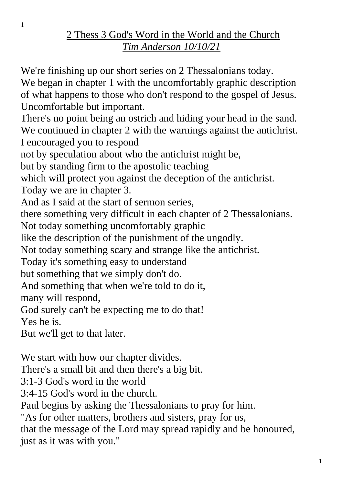## 2 Thess 3 God's Word in the World and the Church *Tim Anderson 10/10/21*

We're finishing up our short series on 2 Thessalonians today. We began in chapter 1 with the uncomfortably graphic description of what happens to those who don't respond to the gospel of Jesus. Uncomfortable but important. There's no point being an ostrich and hiding your head in the sand. We continued in chapter 2 with the warnings against the antichrist. I encouraged you to respond not by speculation about who the antichrist might be, but by standing firm to the apostolic teaching which will protect you against the deception of the antichrist. Today we are in chapter 3. And as I said at the start of sermon series, there something very difficult in each chapter of 2 Thessalonians. Not today something uncomfortably graphic like the description of the punishment of the ungodly. Not today something scary and strange like the antichrist. Today it's something easy to understand but something that we simply don't do. And something that when we're told to do it, many will respond, God surely can't be expecting me to do that! Yes he is. But we'll get to that later. We start with how our chapter divides.

There's a small bit and then there's a big bit. 3:1-3 God's word in the world 3:4-15 God's word in the church. Paul begins by asking the Thessalonians to pray for him. "As for other matters, brothers and sisters, pray for us, that the message of the Lord may spread rapidly and be honoured, just as it was with you."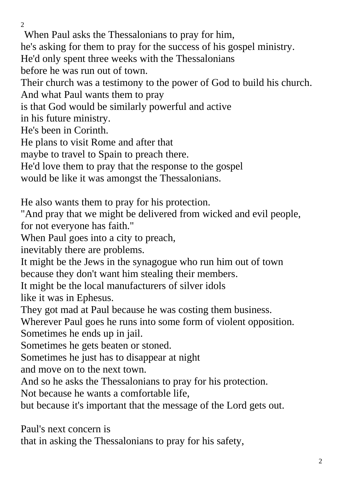$\overline{2}$ When Paul asks the Thessalonians to pray for him, he's asking for them to pray for the success of his gospel ministry. He'd only spent three weeks with the Thessalonians before he was run out of town. Their church was a testimony to the power of God to build his church. And what Paul wants them to pray is that God would be similarly powerful and active in his future ministry. He's been in Corinth. He plans to visit Rome and after that maybe to travel to Spain to preach there. He'd love them to pray that the response to the gospel would be like it was amongst the Thessalonians. He also wants them to pray for his protection. "And pray that we might be delivered from wicked and evil people, for not everyone has faith." When Paul goes into a city to preach, inevitably there are problems. It might be the Jews in the synagogue who run him out of town because they don't want him stealing their members. It might be the local manufacturers of silver idols like it was in Ephesus. They got mad at Paul because he was costing them business. Wherever Paul goes he runs into some form of violent opposition. Sometimes he ends up in jail. Sometimes he gets beaten or stoned. Sometimes he just has to disappear at night and move on to the next town. And so he asks the Thessalonians to pray for his protection. Not because he wants a comfortable life, but because it's important that the message of the Lord gets out. Paul's next concern is that in asking the Thessalonians to pray for his safety,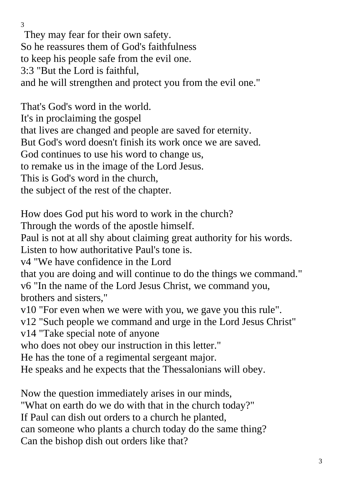They may fear for their own safety. So he reassures them of God's faithfulness to keep his people safe from the evil one. 3:3 "But the Lord is faithful, and he will strengthen and protect you from the evil one."

That's God's word in the world. It's in proclaiming the gospel that lives are changed and people are saved for eternity. But God's word doesn't finish its work once we are saved. God continues to use his word to change us, to remake us in the image of the Lord Jesus. This is God's word in the church, the subject of the rest of the chapter.

How does God put his word to work in the church?

Through the words of the apostle himself.

Paul is not at all shy about claiming great authority for his words.

Listen to how authoritative Paul's tone is.

v4 "We have confidence in the Lord

that you are doing and will continue to do the things we command." v6 "In the name of the Lord Jesus Christ, we command you, brothers and sisters,"

v10 "For even when we were with you, we gave you this rule".

v12 "Such people we command and urge in the Lord Jesus Christ"

v14 "Take special note of anyone

who does not obey our instruction in this letter."

He has the tone of a regimental sergeant major.

He speaks and he expects that the Thessalonians will obey.

Now the question immediately arises in our minds,

"What on earth do we do with that in the church today?"

If Paul can dish out orders to a church he planted,

can someone who plants a church today do the same thing?

Can the bishop dish out orders like that?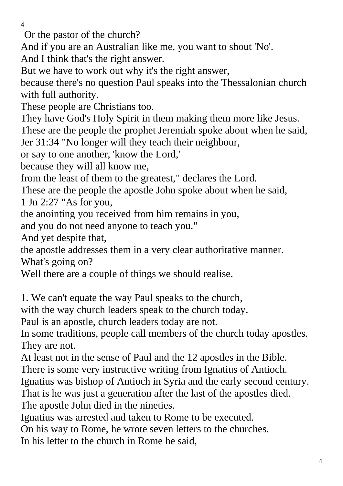Or the pastor of the church?

And if you are an Australian like me, you want to shout 'No'.

And I think that's the right answer.

But we have to work out why it's the right answer,

because there's no question Paul speaks into the Thessalonian church with full authority.

These people are Christians too.

They have God's Holy Spirit in them making them more like Jesus. These are the people the prophet Jeremiah spoke about when he said,

Jer 31:34 "No longer will they teach their neighbour,

or say to one another, 'know the Lord,'

because they will all know me,

from the least of them to the greatest," declares the Lord.

These are the people the apostle John spoke about when he said,

1 Jn 2:27 "As for you,

the anointing you received from him remains in you,

and you do not need anyone to teach you."

And yet despite that,

the apostle addresses them in a very clear authoritative manner.

What's going on?

Well there are a couple of things we should realise.

1. We can't equate the way Paul speaks to the church,

with the way church leaders speak to the church today.

Paul is an apostle, church leaders today are not.

In some traditions, people call members of the church today apostles. They are not.

At least not in the sense of Paul and the 12 apostles in the Bible.

There is some very instructive writing from Ignatius of Antioch.

Ignatius was bishop of Antioch in Syria and the early second century.

That is he was just a generation after the last of the apostles died.

The apostle John died in the nineties.

Ignatius was arrested and taken to Rome to be executed.

On his way to Rome, he wrote seven letters to the churches.

In his letter to the church in Rome he said,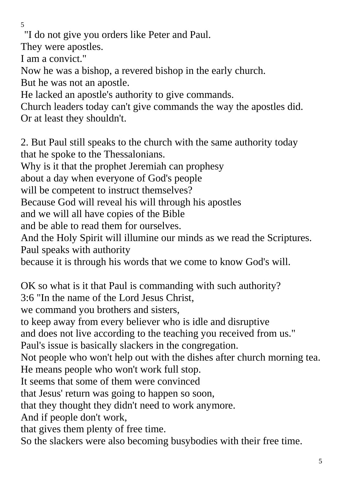"I do not give you orders like Peter and Paul.

They were apostles.

I am a convict."

Now he was a bishop, a revered bishop in the early church.

But he was not an apostle.

He lacked an apostle's authority to give commands.

Church leaders today can't give commands the way the apostles did. Or at least they shouldn't.

2. But Paul still speaks to the church with the same authority today that he spoke to the Thessalonians.

Why is it that the prophet Jeremiah can prophesy

about a day when everyone of God's people

will be competent to instruct themselves?

Because God will reveal his will through his apostles

and we will all have copies of the Bible

and be able to read them for ourselves.

And the Holy Spirit will illumine our minds as we read the Scriptures. Paul speaks with authority

because it is through his words that we come to know God's will.

OK so what is it that Paul is commanding with such authority?

3:6 "In the name of the Lord Jesus Christ,

we command you brothers and sisters,

to keep away from every believer who is idle and disruptive

and does not live according to the teaching you received from us."

Paul's issue is basically slackers in the congregation.

Not people who won't help out with the dishes after church morning tea. He means people who won't work full stop.

It seems that some of them were convinced

that Jesus' return was going to happen so soon,

that they thought they didn't need to work anymore.

And if people don't work,

that gives them plenty of free time.

So the slackers were also becoming busybodies with their free time.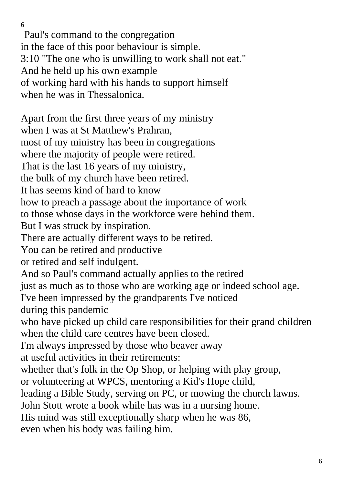Paul's command to the congregation in the face of this poor behaviour is simple. 3:10 "The one who is unwilling to work shall not eat." And he held up his own example of working hard with his hands to support himself when he was in Thessalonica.

Apart from the first three years of my ministry when I was at St Matthew's Prahran. most of my ministry has been in congregations where the majority of people were retired. That is the last 16 years of my ministry, the bulk of my church have been retired. It has seems kind of hard to know how to preach a passage about the importance of work to those whose days in the workforce were behind them. But I was struck by inspiration. There are actually different ways to be retired. You can be retired and productive or retired and self indulgent. And so Paul's command actually applies to the retired just as much as to those who are working age or indeed school age. I've been impressed by the grandparents I've noticed during this pandemic who have picked up child care responsibilities for their grand children when the child care centres have been closed. I'm always impressed by those who beaver away at useful activities in their retirements: whether that's folk in the Op Shop, or helping with play group, or volunteering at WPCS, mentoring a Kid's Hope child, leading a Bible Study, serving on PC, or mowing the church lawns. John Stott wrote a book while has was in a nursing home. His mind was still exceptionally sharp when he was 86, even when his body was failing him.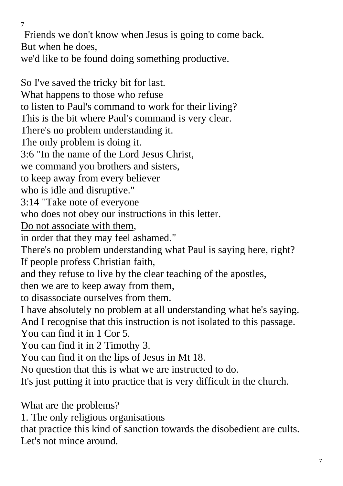Friends we don't know when Jesus is going to come back. But when he does,

we'd like to be found doing something productive.

So I've saved the tricky bit for last. What happens to those who refuse to listen to Paul's command to work for their living? This is the bit where Paul's command is very clear. There's no problem understanding it. The only problem is doing it. 3:6 "In the name of the Lord Jesus Christ, we command you brothers and sisters, to keep away from every believer who is idle and disruptive." 3:14 "Take note of everyone who does not obey our instructions in this letter. Do not associate with them, in order that they may feel ashamed." There's no problem understanding what Paul is saying here, right? If people profess Christian faith, and they refuse to live by the clear teaching of the apostles, then we are to keep away from them, to disassociate ourselves from them. I have absolutely no problem at all understanding what he's saying. And I recognise that this instruction is not isolated to this passage. You can find it in 1 Cor 5. You can find it in 2 Timothy 3. You can find it on the lips of Jesus in Mt 18. No question that this is what we are instructed to do. It's just putting it into practice that is very difficult in the church.

What are the problems?

1. The only religious organisations

that practice this kind of sanction towards the disobedient are cults. Let's not mince around.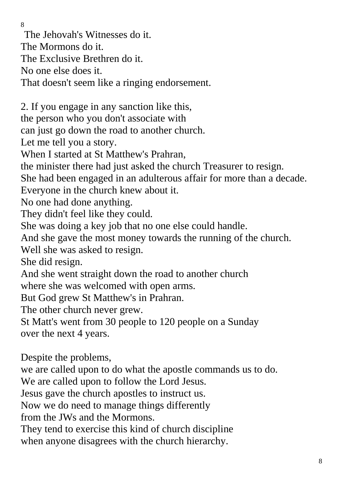The Jehovah's Witnesses do it. The Mormons do it. The Exclusive Brethren do it. No one else does it. That doesn't seem like a ringing endorsement. 2. If you engage in any sanction like this, the person who you don't associate with can just go down the road to another church. Let me tell you a story. When I started at St Matthew's Prahran, the minister there had just asked the church Treasurer to resign. She had been engaged in an adulterous affair for more than a decade. Everyone in the church knew about it. No one had done anything. They didn't feel like they could. She was doing a key job that no one else could handle. And she gave the most money towards the running of the church. Well she was asked to resign. She did resign. And she went straight down the road to another church where she was welcomed with open arms. But God grew St Matthew's in Prahran. The other church never grew. St Matt's went from 30 people to 120 people on a Sunday over the next 4 years. Despite the problems, we are called upon to do what the apostle commands us to do.

We are called upon to follow the Lord Jesus.

Jesus gave the church apostles to instruct us.

Now we do need to manage things differently

from the JWs and the Mormons.

They tend to exercise this kind of church discipline

when anyone disagrees with the church hierarchy.